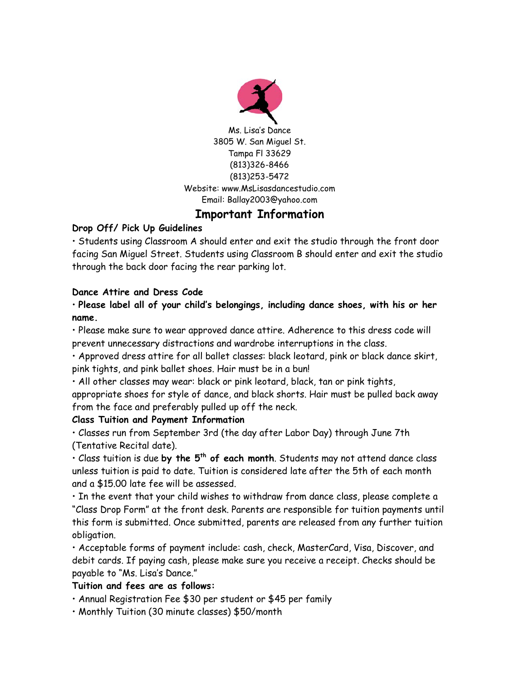

# **Important Information**

### **Drop Off/ Pick Up Guidelines**

• Students using Classroom A should enter and exit the studio through the front door facing San Miguel Street. Students using Classroom B should enter and exit the studio through the back door facing the rear parking lot.

### **Dance Attire and Dress Code**

• **Please label all of your child's belongings, including dance shoes, with his or her name.** 

• Please make sure to wear approved dance attire. Adherence to this dress code will prevent unnecessary distractions and wardrobe interruptions in the class.

• Approved dress attire for all ballet classes: black leotard, pink or black dance skirt, pink tights, and pink ballet shoes. Hair must be in a bun!

• All other classes may wear: black or pink leotard, black, tan or pink tights,

appropriate shoes for style of dance, and black shorts. Hair must be pulled back away from the face and preferably pulled up off the neck.

### **Class Tuition and Payment Information**

• Classes run from September 3rd (the day after Labor Day) through June 7th (Tentative Recital date).

• Class tuition is due **by the 5th of each month**. Students may not attend dance class unless tuition is paid to date. Tuition is considered late after the 5th of each month and a \$15.00 late fee will be assessed.

• In the event that your child wishes to withdraw from dance class, please complete a "Class Drop Form" at the front desk. Parents are responsible for tuition payments until this form is submitted. Once submitted, parents are released from any further tuition obligation.

• Acceptable forms of payment include: cash, check, MasterCard, Visa, Discover, and debit cards. If paying cash, please make sure you receive a receipt. Checks should be payable to "Ms. Lisa's Dance."

# **Tuition and fees are as follows:**

• Annual Registration Fee \$30 per student or \$45 per family

• Monthly Tuition (30 minute classes) \$50/month